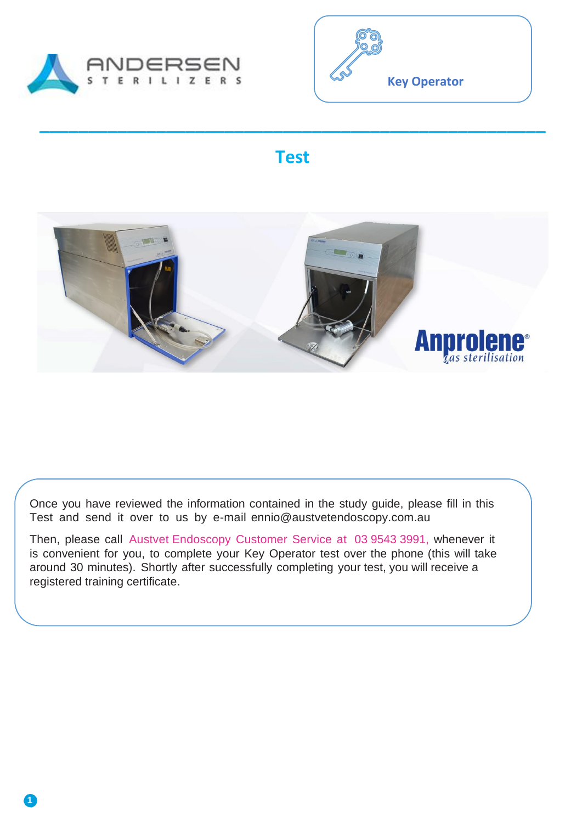

**1**



### **Test**

**\_\_\_\_\_\_\_\_\_\_\_\_\_\_\_\_\_\_\_\_\_\_\_\_\_\_\_\_\_\_\_\_\_\_\_\_\_\_\_\_\_\_\_\_\_\_\_\_\_\_\_\_**



Once you have reviewed the information contained in the study guide, please fill in this Test and send it over to us by e-mail ennio@austvetendoscopy.com.au

Then, please call Austvet Endoscopy Customer Service at 03 9543 3991, whenever it is convenient for you, to complete your Key Operator test over the phone (this will take around 30 minutes). Shortly after successfully completing your test, you will receive a registered training certificate.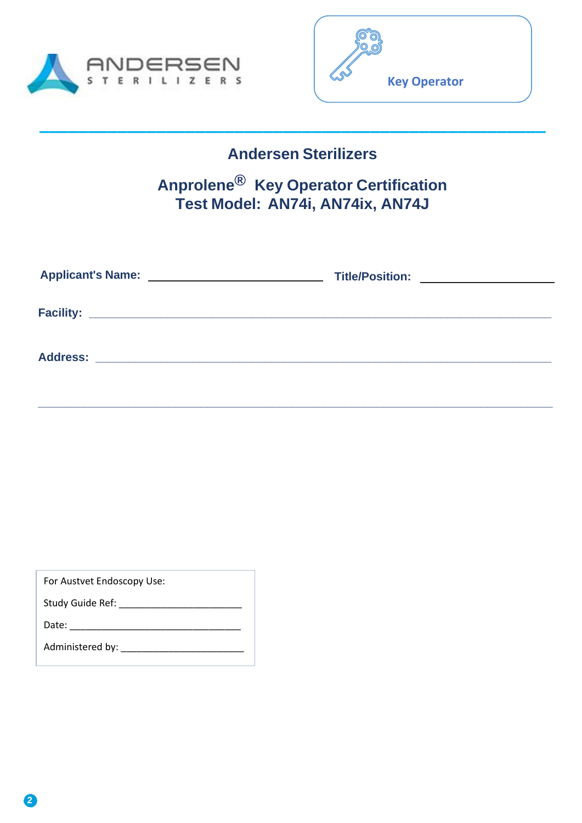



### **Andersen Sterilizers**

**\_\_\_\_\_\_\_\_\_\_\_\_\_\_\_\_\_\_\_\_\_\_\_\_\_\_\_\_\_\_\_\_\_\_\_\_\_\_\_\_\_\_\_\_\_\_\_\_\_\_\_\_**

### **Anprolene® Key Operator Certification Test Model: AN74i, AN74ix, AN74J**

| Title/Position: ___________________ |
|-------------------------------------|
|                                     |
|                                     |
|                                     |

 **\_\_\_\_\_\_\_\_\_\_\_\_\_\_\_\_\_\_\_\_\_\_\_\_\_\_\_\_\_\_\_\_\_\_\_\_\_\_\_\_\_\_\_\_\_\_\_\_\_\_\_\_\_\_\_\_\_\_\_\_\_\_\_\_\_\_\_\_\_\_\_\_\_\_\_\_\_\_\_**

For Austvet Endoscopy Use:

Study Guide Ref: \_\_\_\_\_\_\_\_\_\_\_\_\_\_\_\_\_\_\_\_\_\_\_

Date: \_\_\_\_\_\_\_\_\_\_\_\_\_\_\_\_\_\_\_\_\_\_\_\_\_\_\_\_\_\_\_\_

Administered by: \_\_\_\_\_\_\_\_\_\_\_\_\_\_\_\_\_\_\_\_\_\_\_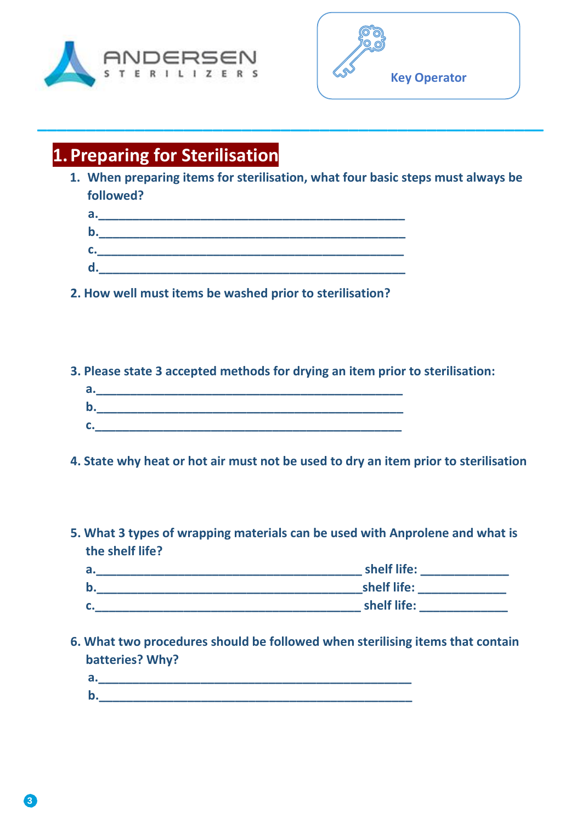



## **1.Preparing for Sterilisation**

**1. When preparing items for sterilisation, what four basic steps must always be followed?**

**\_\_\_\_\_\_\_\_\_\_\_\_\_\_\_\_\_\_\_\_\_\_\_\_\_\_\_\_\_\_\_\_\_\_\_\_\_\_\_\_\_\_\_\_\_\_\_\_\_\_\_\_**

| a. |  |
|----|--|
| b. |  |
| C. |  |
| d. |  |
|    |  |

**2. How well must items be washed prior to sterilisation?**

**3. Please state 3 accepted methods for drying an item prior to sterilisation:**

| a. |  |  |  |
|----|--|--|--|
|    |  |  |  |
|    |  |  |  |

**4. State why heat or hot air must not be used to dry an item prior to sterilisation**

**5. What 3 types of wrapping materials can be used with Anprolene and what is the shelf life?**



**6. What two procedures should be followed when sterilising items that contain batteries? Why?**

| . . | _________ |  |  |
|-----|-----------|--|--|
| . . |           |  |  |
|     |           |  |  |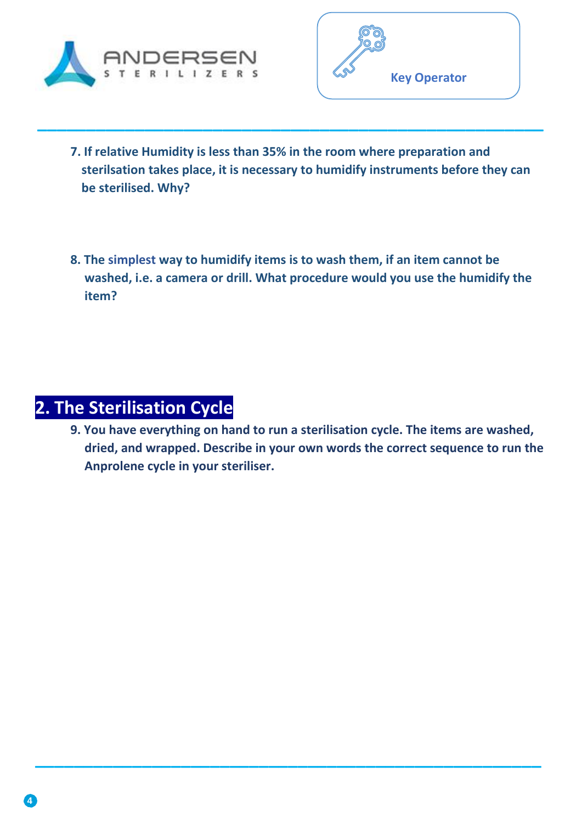



**7. If relative Humidity is less than 35% in the room where preparation and sterilsation takes place, it is necessary to humidify instruments before they can be sterilised. Why?**

**\_\_\_\_\_\_\_\_\_\_\_\_\_\_\_\_\_\_\_\_\_\_\_\_\_\_\_\_\_\_\_\_\_\_\_\_\_\_\_\_\_\_\_\_\_\_\_\_\_\_\_\_**

**8. The simplest way to humidify items is to wash them, if an item cannot be washed, i.e. a camera or drill. What procedure would you use the humidify the item?**

# **2. The Sterilisation Cycle**

**9. You have everything on hand to run a sterilisation cycle. The items are washed, dried, and wrapped. Describe in your own words the correct sequence to run the Anprolene cycle in your steriliser.**

**\_\_\_\_\_\_\_\_\_\_\_\_\_\_\_\_\_\_\_\_\_\_\_\_\_\_\_\_\_\_\_\_\_\_\_\_\_\_\_\_\_\_\_\_\_\_\_\_\_\_\_\_**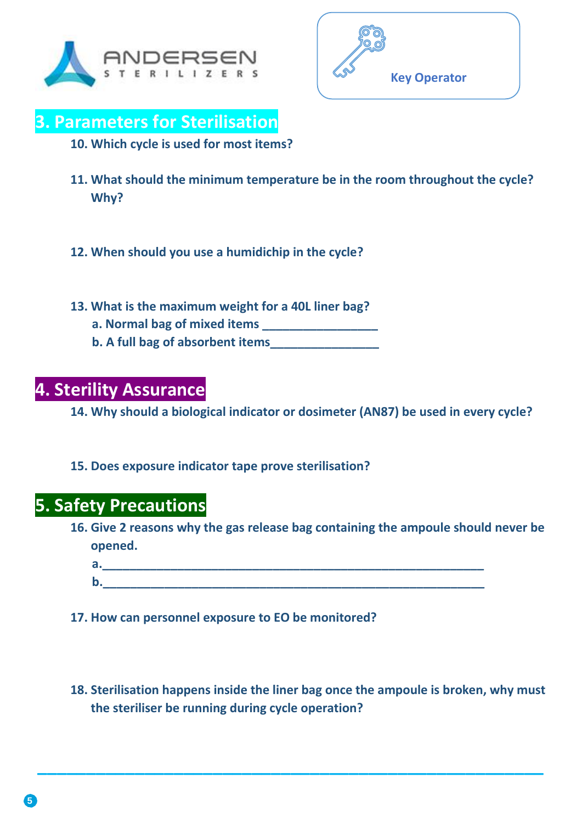



### **3. Parameters for Sterilisation**

**10. Which cycle is used for most items?** 

- **11. What should the minimum temperature be in the room throughout the cycle? Why?**
- **12. When should you use a humidichip in the cycle?**
- **13. What is the maximum weight for a 40L liner bag?**
	- **a. Normal bag of mixed items \_\_\_\_\_\_\_\_\_\_\_\_\_\_\_\_\_ b. A full bag of absorbent items\_\_\_\_\_\_\_\_\_\_\_\_\_\_\_\_**
- **4. Sterility Assurance**

**14. Why should a biological indicator or dosimeter (AN87) be used in every cycle?**

**15. Does exposure indicator tape prove sterilisation?**

### **5. Safety Precautions**

**16. Give 2 reasons why the gas release bag containing the ampoule should never be opened.**

**17. How can personnel exposure to EO be monitored?**

**18. Sterilisation happens inside the liner bag once the ampoule is broken, why must the steriliser be running during cycle operation?**

**\_\_\_\_\_\_\_\_\_\_\_\_\_\_\_\_\_\_\_\_\_\_\_\_\_\_\_\_\_\_\_\_\_\_\_\_\_\_\_\_\_\_\_\_\_\_\_\_\_\_\_\_**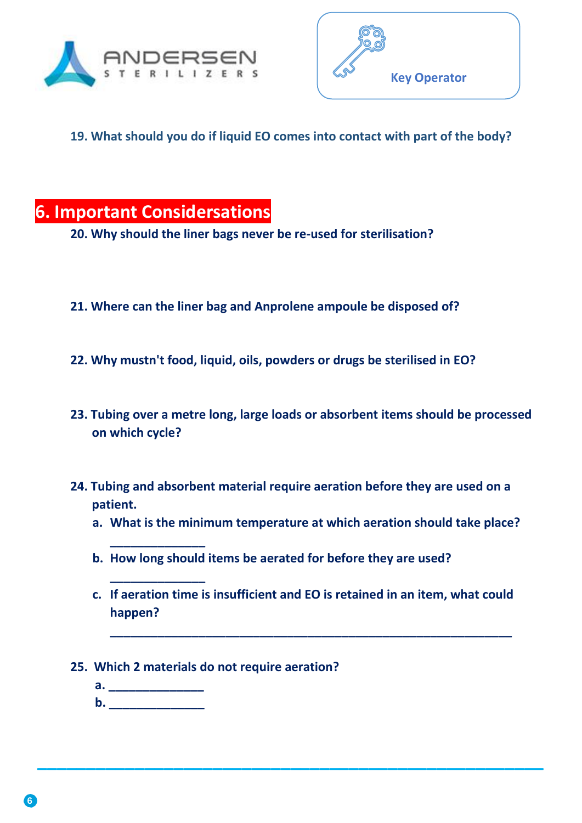



**19. What should you do if liquid EO comes into contact with part of the body?**

## **6. Important Considersations**

**20. Why should the liner bags never be re-used for sterilisation?**

- **21. Where can the liner bag and Anprolene ampoule be disposed of?**
- **22. Why mustn't food, liquid, oils, powders or drugs be sterilised in EO?**
- **23. Tubing over a metre long, large loads or absorbent items should be processed on which cycle?**
- **24. Tubing and absorbent material require aeration before they are used on a patient.**
	- **a. What is the minimum temperature at which aeration should take place?**
	- **b. How long should items be aerated for before they are used?**
	- **c. If aeration time is insufficient and EO is retained in an item, what could happen?**

**\_\_\_\_\_\_\_\_\_\_\_\_\_\_\_\_\_\_\_\_\_\_\_\_\_\_\_\_\_\_\_\_\_\_\_\_\_\_\_\_\_\_\_\_\_\_\_\_\_\_\_\_**

**\_\_\_\_\_\_\_\_\_\_\_\_\_\_\_\_\_\_\_\_\_\_\_\_\_\_\_\_\_\_\_\_\_\_\_\_\_\_\_\_\_\_\_\_\_\_\_\_\_\_\_\_\_\_\_\_\_\_\_**

- **25. Which 2 materials do not require aeration?**
	- **a. \_\_\_\_\_\_\_\_\_\_\_\_\_\_ b.** \_\_\_\_\_\_\_\_\_

**\_\_\_\_\_\_\_\_\_\_\_\_\_\_**

**\_\_\_\_\_\_\_\_\_\_\_\_\_\_**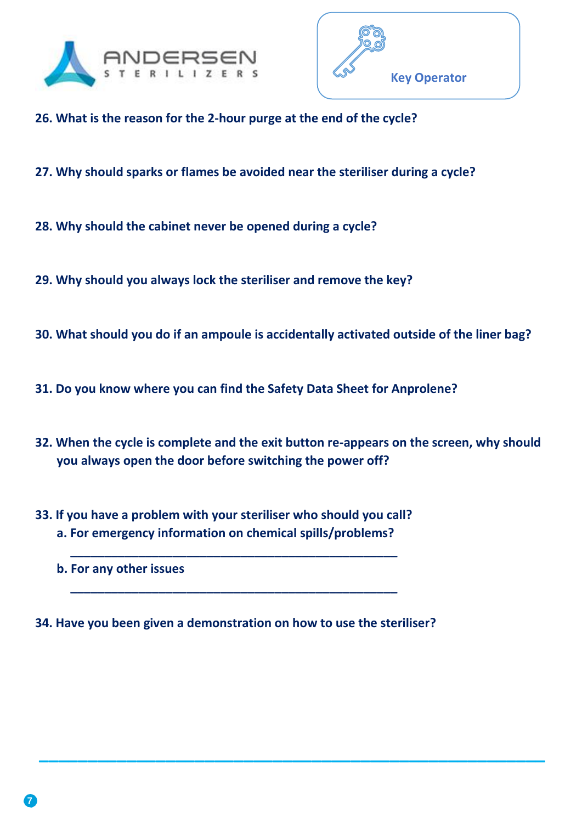



- **26. What is the reason for the 2-hour purge at the end of the cycle?**
- **27. Why should sparks or flames be avoided near the steriliser during a cycle?**
- **28. Why should the cabinet never be opened during a cycle?**
- **29. Why should you always lock the steriliser and remove the key?**
- **30. What should you do if an ampoule is accidentally activated outside of the liner bag?**
- **31. Do you know where you can find the Safety Data Sheet for Anprolene?**
- **32. When the cycle is complete and the exit button re-appears on the screen, why should you always open the door before switching the power off?**

**\_\_\_\_\_\_\_\_\_\_\_\_\_\_\_\_\_\_\_\_\_\_\_\_\_\_\_\_\_\_\_\_\_\_\_\_\_\_\_\_\_\_\_\_\_\_\_\_\_\_\_\_**

**33. If you have a problem with your steriliser who should you call? a. For emergency information on chemical spills/problems?**

**\_\_\_\_\_\_\_\_\_\_\_\_\_\_\_\_\_\_\_\_\_\_\_\_\_\_\_\_\_\_\_\_\_\_\_\_\_\_\_\_\_\_\_\_\_\_\_\_**

**\_\_\_\_\_\_\_\_\_\_\_\_\_\_\_\_\_\_\_\_\_\_\_\_\_\_\_\_\_\_\_\_\_\_\_\_\_\_\_\_\_\_\_\_\_\_\_\_**

 **b. For any other issues**

**34. Have you been given a demonstration on how to use the steriliser?**